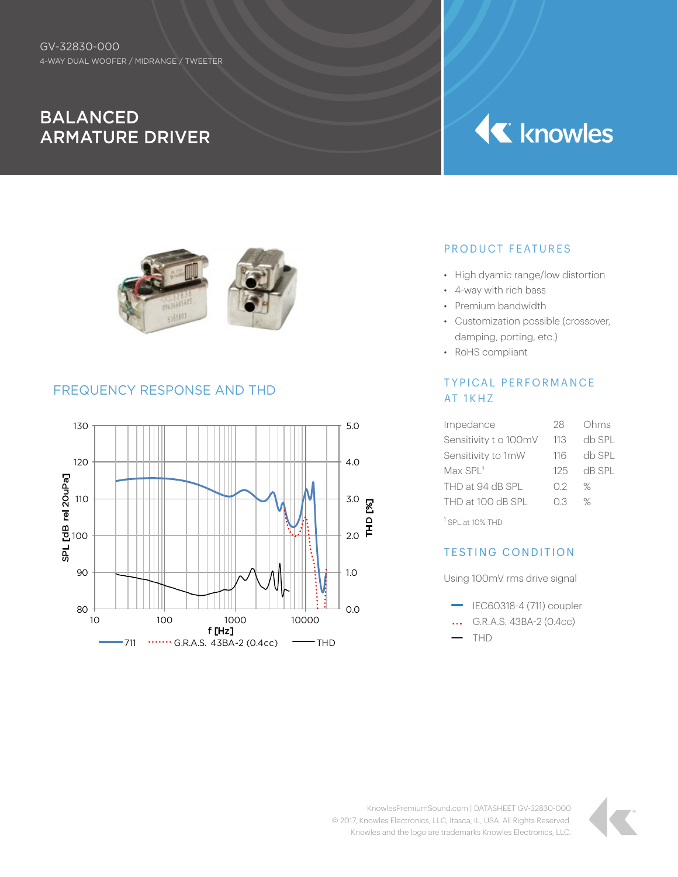# BALANCED ARMATURE DRIVER

# **K** knowles



### FREQUENCY RESPONSE AND THD



#### PRODUCT FEATURES

- High dyamic range/low distortion
- 4-way with rich bass
- Premium bandwidth
- Customization possible (crossover, damping, porting, etc.)
- RoHS compliant

#### TYPICAL PERFORMANCE AT 1KHZ

| Impedance              | 28  | Ohms   |
|------------------------|-----|--------|
| Sensitivity t o 100mV  | 113 | db SPI |
| Sensitivity to 1mW     | 116 | db SPI |
| $Max$ SPL <sup>1</sup> | 125 | dB SPL |
| THD at 94 dB SPL       | 02  | ℅      |
| THD at 100 dB SPL      | O.3 | ℅      |
|                        |     |        |

1 SPL at 10% THD

#### TESTING CONDITION

Using 100mV rms drive signal

- $\equiv$  IEC60318-4 (711) coupler
- ... G.R.A.S. 43BA-2 (0.4cc)
- $-$  THD